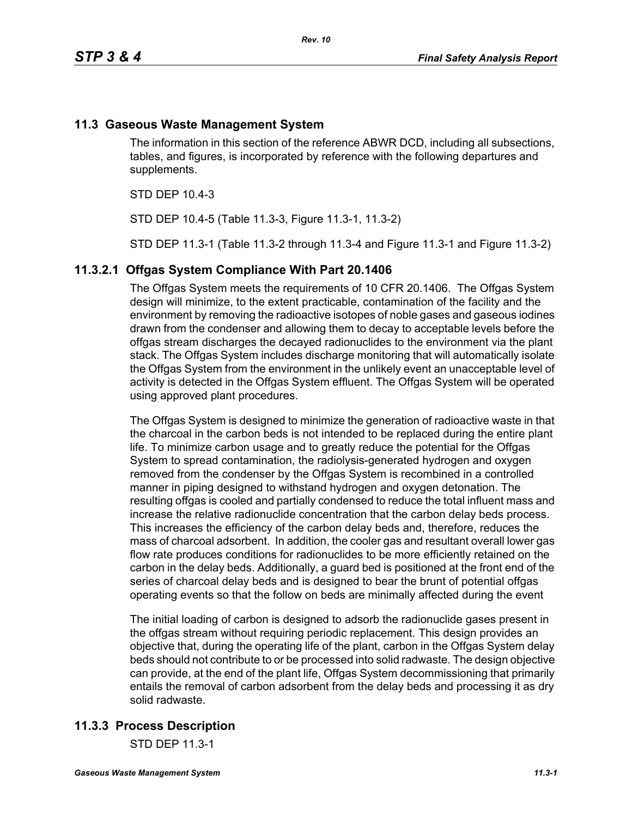## **11.3 Gaseous Waste Management System**

The information in this section of the reference ABWR DCD, including all subsections, tables, and figures, is incorporated by reference with the following departures and supplements.

STD DEP 10.4-3

STD DEP 10.4-5 (Table 11.3-3, Figure 11.3-1, 11.3-2)

STD DEP 11.3-1 (Table 11.3-2 through 11.3-4 and Figure 11.3-1 and Figure 11.3-2)

#### **11.3.2.1 Offgas System Compliance With Part 20.1406**

The Offgas System meets the requirements of 10 CFR 20.1406. The Offgas System design will minimize, to the extent practicable, contamination of the facility and the environment by removing the radioactive isotopes of noble gases and gaseous iodines drawn from the condenser and allowing them to decay to acceptable levels before the offgas stream discharges the decayed radionuclides to the environment via the plant stack. The Offgas System includes discharge monitoring that will automatically isolate the Offgas System from the environment in the unlikely event an unacceptable level of activity is detected in the Offgas System effluent. The Offgas System will be operated using approved plant procedures.

The Offgas System is designed to minimize the generation of radioactive waste in that the charcoal in the carbon beds is not intended to be replaced during the entire plant life. To minimize carbon usage and to greatly reduce the potential for the Offgas System to spread contamination, the radiolysis-generated hydrogen and oxygen removed from the condenser by the Offgas System is recombined in a controlled manner in piping designed to withstand hydrogen and oxygen detonation. The resulting offgas is cooled and partially condensed to reduce the total influent mass and increase the relative radionuclide concentration that the carbon delay beds process. This increases the efficiency of the carbon delay beds and, therefore, reduces the mass of charcoal adsorbent. In addition, the cooler gas and resultant overall lower gas flow rate produces conditions for radionuclides to be more efficiently retained on the carbon in the delay beds. Additionally, a guard bed is positioned at the front end of the series of charcoal delay beds and is designed to bear the brunt of potential offgas operating events so that the follow on beds are minimally affected during the event

The initial loading of carbon is designed to adsorb the radionuclide gases present in the offgas stream without requiring periodic replacement. This design provides an objective that, during the operating life of the plant, carbon in the Offgas System delay beds should not contribute to or be processed into solid radwaste. The design objective can provide, at the end of the plant life, Offgas System decommissioning that primarily entails the removal of carbon adsorbent from the delay beds and processing it as dry solid radwaste.

## **11.3.3 Process Description**

STD DEP 11.3-1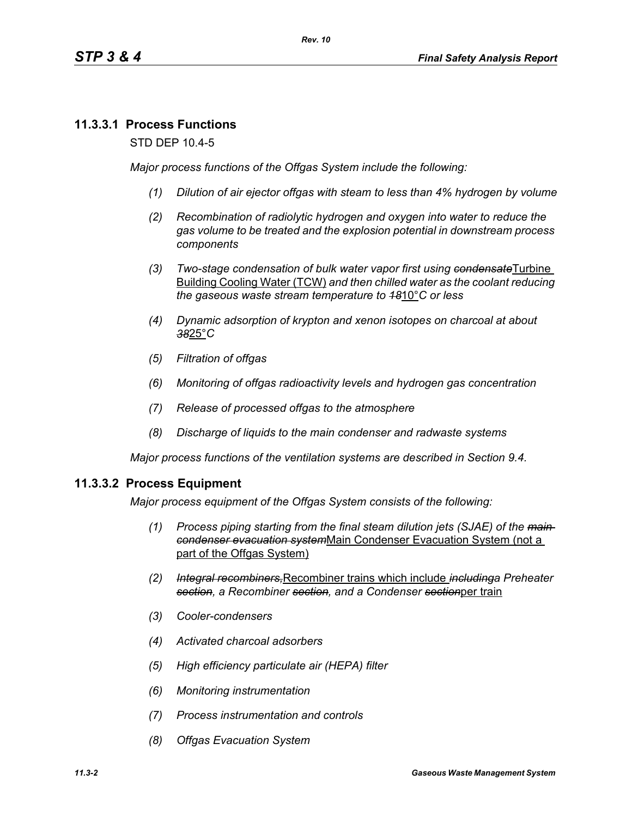## **11.3.3.1 Process Functions**

STD DEP 10.4-5

*Major process functions of the Offgas System include the following:*

- *(1) Dilution of air ejector offgas with steam to less than 4% hydrogen by volume*
- *(2) Recombination of radiolytic hydrogen and oxygen into water to reduce the gas volume to be treated and the explosion potential in downstream process components*
- *(3) Two-stage condensation of bulk water vapor first using condensate*Turbine Building Cooling Water (TCW) *and then chilled water as the coolant reducing the gaseous waste stream temperature to 18*10°*C or less*
- *(4) Dynamic adsorption of krypton and xenon isotopes on charcoal at about 38*25°*C*
- *(5) Filtration of offgas*
- *(6) Monitoring of offgas radioactivity levels and hydrogen gas concentration*
- *(7) Release of processed offgas to the atmosphere*
- *(8) Discharge of liquids to the main condenser and radwaste systems*

*Major process functions of the ventilation systems are described in Section 9.4.*

#### **11.3.3.2 Process Equipment**

*Major process equipment of the Offgas System consists of the following:*

- *(1) Process piping starting from the final steam dilution jets (SJAE) of the main condenser evacuation system*Main Condenser Evacuation System (not a part of the Offgas System)
- *(2) Integral recombiners,*Recombiner trains which include *includinga Preheater section, a Recombiner section, and a Condenser section*per train
- *(3) Cooler-condensers*
- *(4) Activated charcoal adsorbers*
- *(5) High efficiency particulate air (HEPA) filter*
- *(6) Monitoring instrumentation*
- *(7) Process instrumentation and controls*
- *(8) Offgas Evacuation System*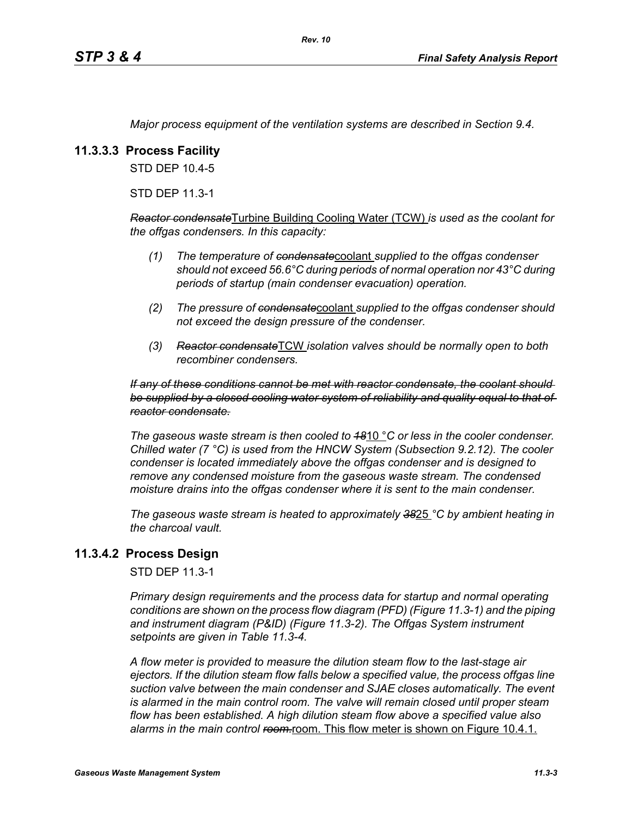*Major process equipment of the ventilation systems are described in Section 9.4.*

## **11.3.3.3 Process Facility**

STD DEP 10.4-5

STD DEP 11.3-1

*Reactor condensate*Turbine Building Cooling Water (TCW) *is used as the coolant for the offgas condensers. In this capacity:*

- *(1) The temperature of condensate*coolant *supplied to the offgas condenser should not exceed 56.6°C during periods of normal operation nor 43°C during periods of startup (main condenser evacuation) operation.*
- *(2) The pressure of condensate*coolant *supplied to the offgas condenser should not exceed the design pressure of the condenser.*
- *(3) Reactor condensate*TCW *isolation valves should be normally open to both recombiner condensers.*

#### *If any of these conditions cannot be met with reactor condensate, the coolant should be supplied by a closed cooling water system of reliability and quality equal to that of reactor condensate.*

*The gaseous waste stream is then cooled to 18*10 °*C or less in the cooler condenser. Chilled water (7 °C) is used from the HNCW System (Subsection 9.2.12). The cooler condenser is located immediately above the offgas condenser and is designed to remove any condensed moisture from the gaseous waste stream. The condensed moisture drains into the offgas condenser where it is sent to the main condenser.*

*The gaseous waste stream is heated to approximately 38*25 *°C by ambient heating in the charcoal vault.*

## **11.3.4.2 Process Design**

STD DEP 11.3-1

*Primary design requirements and the process data for startup and normal operating conditions are shown on the process flow diagram (PFD) (Figure 11.3-1) and the piping and instrument diagram (P&ID) (Figure 11.3-2). The Offgas System instrument setpoints are given in Table 11.3-4.*

*A flow meter is provided to measure the dilution steam flow to the last-stage air ejectors. If the dilution steam flow falls below a specified value, the process offgas line suction valve between the main condenser and SJAE closes automatically. The event*  is alarmed in the main control room. The valve will remain closed until proper steam *flow has been established. A high dilution steam flow above a specified value also*  alarms in the main control ream-room. This flow meter is shown on Figure 10.4.1.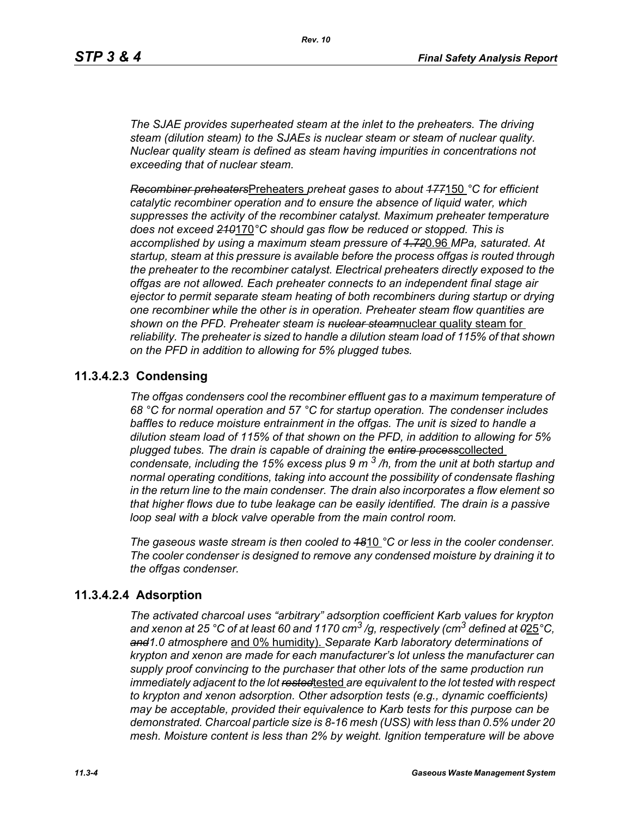*The SJAE provides superheated steam at the inlet to the preheaters. The driving steam (dilution steam) to the SJAEs is nuclear steam or steam of nuclear quality. Nuclear quality steam is defined as steam having impurities in concentrations not exceeding that of nuclear steam.*

*Recombiner preheaters*Preheaters *preheat gases to about 177*150 *°C for efficient catalytic recombiner operation and to ensure the absence of liquid water, which suppresses the activity of the recombiner catalyst. Maximum preheater temperature does not exceed 210*170*°C should gas flow be reduced or stopped. This is accomplished by using a maximum steam pressure of 1.72*0.96 *MPa, saturated. At startup, steam at this pressure is available before the process offgas is routed through the preheater to the recombiner catalyst. Electrical preheaters directly exposed to the offgas are not allowed. Each preheater connects to an independent final stage air ejector to permit separate steam heating of both recombiners during startup or drying one recombiner while the other is in operation. Preheater steam flow quantities are shown on the PFD. Preheater steam is nuclear steam*nuclear quality steam for *reliability. The preheater is sized to handle a dilution steam load of 115% of that shown on the PFD in addition to allowing for 5% plugged tubes.*

## **11.3.4.2.3 Condensing**

*The offgas condensers cool the recombiner effluent gas to a maximum temperature of 68 °C for normal operation and 57 °C for startup operation. The condenser includes baffles to reduce moisture entrainment in the offgas. The unit is sized to handle a dilution steam load of 115% of that shown on the PFD, in addition to allowing for 5% plugged tubes. The drain is capable of draining the entire process*collected *condensate, including the 15% excess plus 9 m 3 /h, from the unit at both startup and normal operating conditions, taking into account the possibility of condensate flashing in the return line to the main condenser. The drain also incorporates a flow element so that higher flows due to tube leakage can be easily identified. The drain is a passive loop seal with a block valve operable from the main control room.* 

*The gaseous waste stream is then cooled to 18*10 *°C or less in the cooler condenser. The cooler condenser is designed to remove any condensed moisture by draining it to the offgas condenser.*

## **11.3.4.2.4 Adsorption**

*The activated charcoal uses "arbitrary" adsorption coefficient Karb values for krypton and xenon at 25 °C of at least 60 and 1170 cm3 /g, respectively (cm3 defined at 0*25*°C, and1.0 atmosphere* and 0% humidity). *Separate Karb laboratory determinations of krypton and xenon are made for each manufacturer's lot unless the manufacturer can supply proof convincing to the purchaser that other lots of the same production run immediately adjacent to the lot rested*tested *are equivalent to the lot tested with respect to krypton and xenon adsorption. Other adsorption tests (e.g., dynamic coefficients) may be acceptable, provided their equivalence to Karb tests for this purpose can be demonstrated. Charcoal particle size is 8-16 mesh (USS) with less than 0.5% under 20 mesh. Moisture content is less than 2% by weight. Ignition temperature will be above*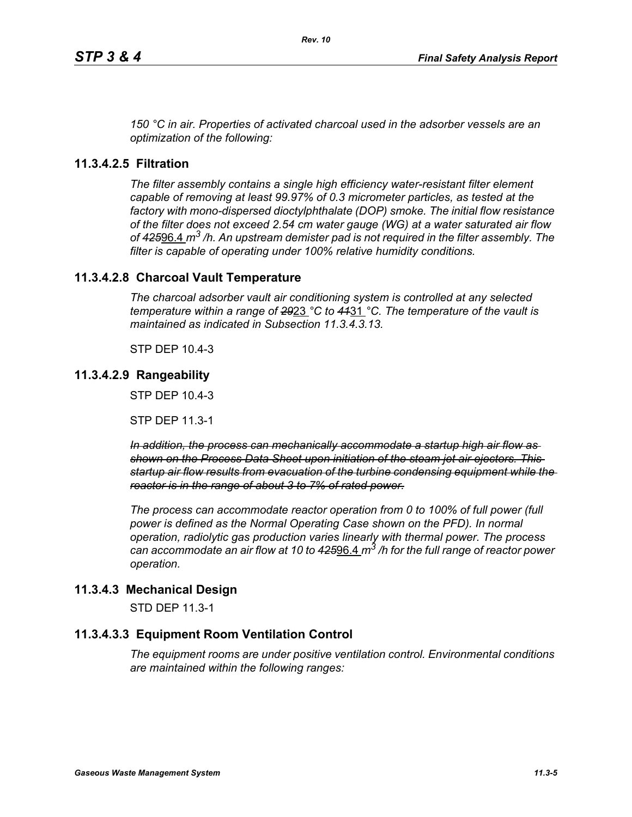*150 °C in air. Properties of activated charcoal used in the adsorber vessels are an optimization of the following:*

## **11.3.4.2.5 Filtration**

*The filter assembly contains a single high efficiency water-resistant filter element capable of removing at least 99.97% of 0.3 micrometer particles, as tested at the factory with mono-dispersed dioctylphthalate (DOP) smoke. The initial flow resistance of the filter does not exceed 2.54 cm water gauge (WG) at a water saturated air flow of 425*96.4 *m3 /h. An upstream demister pad is not required in the filter assembly. The filter is capable of operating under 100% relative humidity conditions.*

## **11.3.4.2.8 Charcoal Vault Temperature**

*The charcoal adsorber vault air conditioning system is controlled at any selected temperature within a range of 29*23 *°C to 41*31 *°C. The temperature of the vault is maintained as indicated in Subsection 11.3.4.3.13.*

STP DEP 10.4-3

## **11.3.4.2.9 Rangeability**

STP DEP 10.4-3

STP DEP 11.3-1

*In addition, the process can mechanically accommodate a startup high air flow as shown on the Process Data Sheet upon initiation of the steam jet air ejectors. This startup air flow results from evacuation of the turbine condensing equipment while the reactor is in the range of about 3 to 7% of rated power.*

*The process can accommodate reactor operation from 0 to 100% of full power (full power is defined as the Normal Operating Case shown on the PFD). In normal operation, radiolytic gas production varies linearly with thermal power. The process can accommodate an air flow at 10 to 425*96.4 *m3 /h for the full range of reactor power operation.*

## **11.3.4.3 Mechanical Design**

STD DEP 11.3-1

## **11.3.4.3.3 Equipment Room Ventilation Control**

*The equipment rooms are under positive ventilation control. Environmental conditions are maintained within the following ranges:*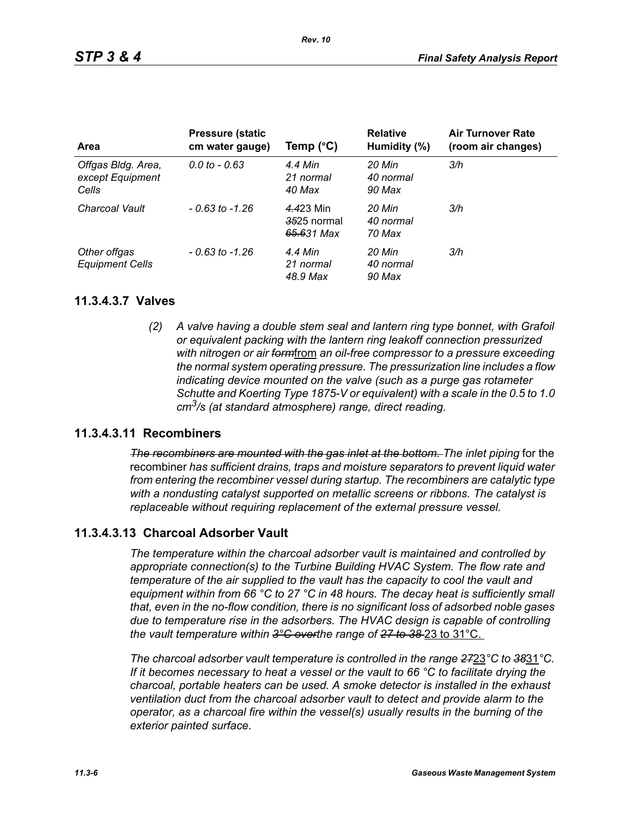| Area                                            | <b>Pressure (static)</b><br>cm water gauge) | Temp $(^{\circ}C)$                     | <b>Relative</b><br>Humidity (%) | <b>Air Turnover Rate</b><br>(room air changes) |
|-------------------------------------------------|---------------------------------------------|----------------------------------------|---------------------------------|------------------------------------------------|
| Offgas Bldg. Area,<br>except Equipment<br>Cells | $0.0 \text{ to } -0.63$                     | 4.4 Min<br>21 normal<br>40 Max         | 20 Min<br>40 normal<br>90 Max   | 3/h                                            |
| Charcoal Vault                                  | $-0.63$ to $-1.26$                          | 4.423 Min<br>3525 normal<br>65.631 Max | 20 Min<br>40 normal<br>70 Max   | 3/h                                            |
| Other offgas<br><b>Equipment Cells</b>          | $-0.63$ to $-1.26$                          | 4.4 Min<br>21 normal<br>48.9 Max       | 20 Min<br>40 normal<br>90 Max   | 3/h                                            |

#### **11.3.4.3.7 Valves**

*(2) A valve having a double stem seal and lantern ring type bonnet, with Grafoil or equivalent packing with the lantern ring leakoff connection pressurized with nitrogen or air form*from *an oil-free compressor to a pressure exceeding the normal system operating pressure. The pressurization line includes a flow indicating device mounted on the valve (such as a purge gas rotameter Schutte and Koerting Type 1875-V or equivalent) with a scale in the 0.5 to 1.0 cm3/s (at standard atmosphere) range, direct reading.*

## **11.3.4.3.11 Recombiners**

*The recombiners are mounted with the gas inlet at the bottom. The inlet piping for the* recombiner *has sufficient drains, traps and moisture separators to prevent liquid water from entering the recombiner vessel during startup. The recombiners are catalytic type with a nondusting catalyst supported on metallic screens or ribbons. The catalyst is replaceable without requiring replacement of the external pressure vessel.*

## **11.3.4.3.13 Charcoal Adsorber Vault**

*The temperature within the charcoal adsorber vault is maintained and controlled by appropriate connection(s) to the Turbine Building HVAC System. The flow rate and temperature of the air supplied to the vault has the capacity to cool the vault and equipment within from 66 °C to 27 °C in 48 hours. The decay heat is sufficiently small that, even in the no-flow condition, there is no significant loss of adsorbed noble gases due to temperature rise in the adsorbers. The HVAC design is capable of controlling the vault temperature within 3°C overthe range of 27 to 38* 23 to 31°C.

*The charcoal adsorber vault temperature is controlled in the range 27*23*°C to 38*31*°C. If it becomes necessary to heat a vessel or the vault to 66 °C to facilitate drying the charcoal, portable heaters can be used. A smoke detector is installed in the exhaust ventilation duct from the charcoal adsorber vault to detect and provide alarm to the operator, as a charcoal fire within the vessel(s) usually results in the burning of the exterior painted surface.*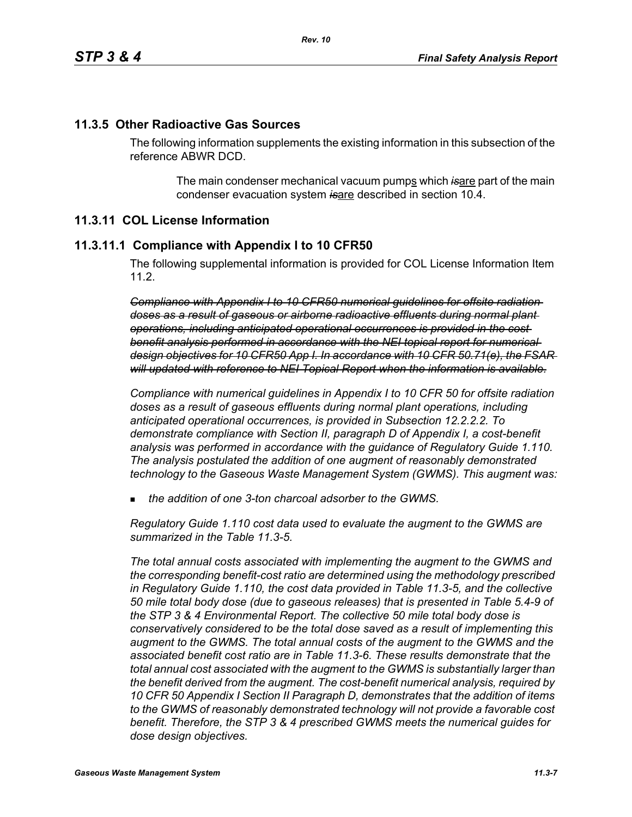#### **11.3.5 Other Radioactive Gas Sources**

The following information supplements the existing information in this subsection of the reference ABWR DCD.

> The main condenser mechanical vacuum pumps which is are part of the main condenser evacuation system *is*are described in section 10.4.

#### **11.3.11 COL License Information**

#### **11.3.11.1 Compliance with Appendix I to 10 CFR50**

The following supplemental information is provided for COL License Information Item 11.2.

*Compliance with Appendix I to 10 CFR50 numerical guidelines for offsite radiation doses as a result of gaseous or airborne radioactive effluents during normal plant operations, including anticipated operational occurrences is provided in the cost benefit analysis performed in accordance with the NEI topical report for numerical design objectives for 10 CFR50 App I. In accordance with 10 CFR 50.71(e), the FSAR will updated with reference to NEI Topical Report when the information is available.*

*Compliance with numerical guidelines in Appendix I to 10 CFR 50 for offsite radiation doses as a result of gaseous effluents during normal plant operations, including anticipated operational occurrences, is provided in Subsection 12.2.2.2. To demonstrate compliance with Section II, paragraph D of Appendix I, a cost-benefit analysis was performed in accordance with the guidance of Regulatory Guide 1.110. The analysis postulated the addition of one augment of reasonably demonstrated technology to the Gaseous Waste Management System (GWMS). This augment was:*

*the addition of one 3-ton charcoal adsorber to the GWMS.*

*Regulatory Guide 1.110 cost data used to evaluate the augment to the GWMS are summarized in the Table 11.3-5.* 

*The total annual costs associated with implementing the augment to the GWMS and the corresponding benefit-cost ratio are determined using the methodology prescribed in Regulatory Guide 1.110, the cost data provided in Table 11.3-5, and the collective 50 mile total body dose (due to gaseous releases) that is presented in Table 5.4-9 of the STP 3 & 4 Environmental Report. The collective 50 mile total body dose is conservatively considered to be the total dose saved as a result of implementing this augment to the GWMS. The total annual costs of the augment to the GWMS and the associated benefit cost ratio are in Table 11.3-6. These results demonstrate that the total annual cost associated with the augment to the GWMS is substantially larger than the benefit derived from the augment. The cost-benefit numerical analysis, required by 10 CFR 50 Appendix I Section II Paragraph D, demonstrates that the addition of items to the GWMS of reasonably demonstrated technology will not provide a favorable cost benefit. Therefore, the STP 3 & 4 prescribed GWMS meets the numerical guides for dose design objectives.*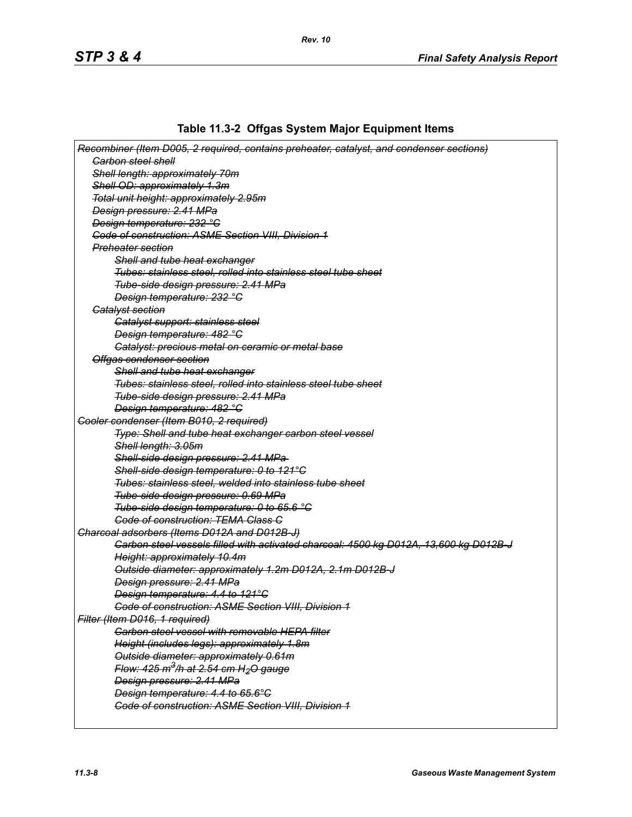# **Table 11.3-2 Offgas System Major Equipment Items**

| Recombiner (Item D005, 2 required, contains preheater, catalyst, and condenser sections) |
|------------------------------------------------------------------------------------------|
| <b>Garbon steel shell</b>                                                                |
| Shell length: approximately 70m                                                          |
| Shell OD: approximately 1.3m                                                             |
| Total unit height: approximately 2.95m                                                   |
| Design pressure: 2.41 MPa                                                                |
| Design temperature: 232 °C                                                               |
| Code of construction: ASME Section VIII, Division 1                                      |
| Preheater section                                                                        |
| Shell and tube heat exchanger                                                            |
| Tubes: stainless steel, rolled into stainless steel tube sheet                           |
| Tube-side design pressure: 2.41 MPa                                                      |
| Design temperature: 232 °C                                                               |
| <b>Gatalyst section</b>                                                                  |
| Catalyst support: stainless steel                                                        |
| Design temperature: 482 °C                                                               |
| Catalyst: precious metal on ceramic or metal base                                        |
| Offgas condenser section                                                                 |
| Shell and tube heat exchanger                                                            |
| Tubes: stainless steel, rolled into stainless steel tube sheet                           |
| Tube-side design pressure: 2.41 MPa                                                      |
| Design temperature: 482 °C                                                               |
| Cooler condenser (Item B010, 2 required)                                                 |
| Type: Shell and tube heat exchanger carbon steel vessel                                  |
| Shell length: 3.05m                                                                      |
| Shell-side design pressure: 2.41 MPa-                                                    |
| Shell-side design temperature: 0 to 121°C                                                |
| Tubes: stainless steel, welded into stainless tube sheet                                 |
| Tube-side design pressure: 0.69 MPa                                                      |
| Tube-side design temperature: 0 to 65.6 °C                                               |
| <b>Code of construction: TEMA Class C</b>                                                |
| Charcoal adsorbers (Items D012A and D012B-J)                                             |
| Carbon steel vessels filled with activated charcoal: 4500 kg D012A, 13,600 kg D012B J    |
| Height: approximately 10.4m                                                              |
| Outside diameter: approximately 1.2m D012A, 2.1m D012B-J                                 |
| Design pressure: 2.41 MPa                                                                |
| Design temperature: 4.4 to 121°C                                                         |
| <b>Code of construction: ASME Section VIII, Division 1</b>                               |
| Filter (Item D016, 1 required)                                                           |
| <b>Carbon steel vessel with removable HEPA filter</b>                                    |
| Height (includes legs): approximately 1.8m                                               |
| Outside diameter: approximately 0.61m                                                    |
| Flow: $425 \text{ m}^3/h$ at 2.54 cm H <sub>2</sub> O gauge                              |
| Design pressure: 2.41 MPa                                                                |
| Design temperature: 4.4 to 65.6°C                                                        |
| Code of construction: ASME Section VIII, Division 1                                      |
|                                                                                          |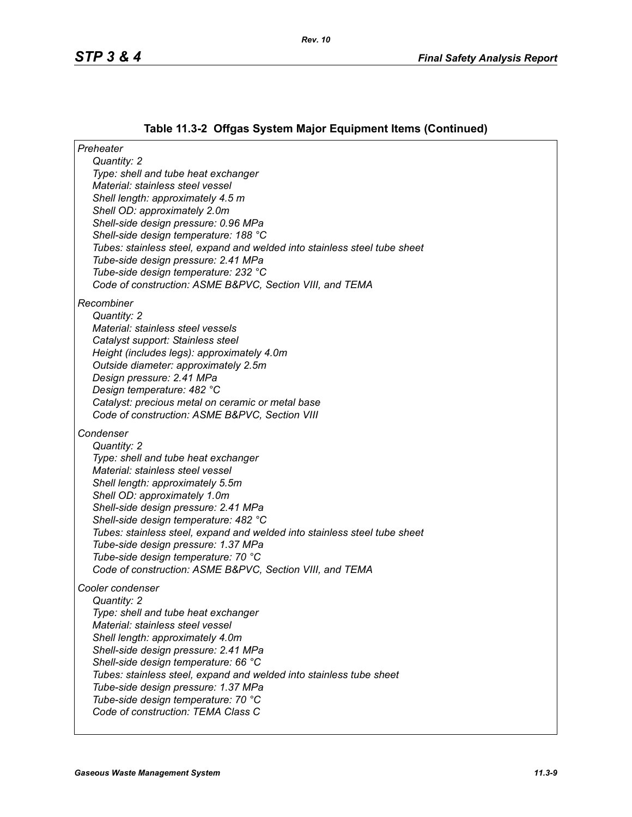# **Table 11.3-2 Offgas System Major Equipment Items (Continued)**

| Preheater                                                                       |
|---------------------------------------------------------------------------------|
| Quantity: 2                                                                     |
| Type: shell and tube heat exchanger                                             |
| Material: stainless steel vessel                                                |
| Shell length: approximately 4.5 m                                               |
| Shell OD: approximately 2.0m                                                    |
| Shell-side design pressure: 0.96 MPa<br>Shell-side design temperature: 188 °C   |
| Tubes: stainless steel, expand and welded into stainless steel tube sheet       |
| Tube-side design pressure: 2.41 MPa                                             |
| Tube-side design temperature: 232 °C                                            |
| Code of construction: ASME B&PVC, Section VIII, and TEMA                        |
|                                                                                 |
| Recombiner                                                                      |
| Quantity: 2                                                                     |
| Material: stainless steel vessels                                               |
| Catalyst support: Stainless steel<br>Height (includes legs): approximately 4.0m |
| Outside diameter: approximately 2.5m                                            |
| Design pressure: 2.41 MPa                                                       |
| Design temperature: 482 °C                                                      |
| Catalyst: precious metal on ceramic or metal base                               |
| Code of construction: ASME B&PVC, Section VIII                                  |
| Condenser                                                                       |
| Quantity: 2                                                                     |
| Type: shell and tube heat exchanger                                             |
| Material: stainless steel vessel                                                |
| Shell length: approximately 5.5m                                                |
| Shell OD: approximately 1.0m                                                    |
| Shell-side design pressure: 2.41 MPa                                            |
| Shell-side design temperature: 482 °C                                           |
| Tubes: stainless steel, expand and welded into stainless steel tube sheet       |
| Tube-side design pressure: 1.37 MPa                                             |
| Tube-side design temperature: 70 °C                                             |
| Code of construction: ASME B&PVC, Section VIII, and TEMA                        |
| Cooler condenser                                                                |
| Quantity: 2                                                                     |
| Type: shell and tube heat exchanger                                             |
| Material: stainless steel vessel                                                |
| Shell length: approximately 4.0m                                                |
| Shell-side design pressure: 2.41 MPa                                            |
| Shell-side design temperature: 66 °C                                            |
| Tubes: stainless steel, expand and welded into stainless tube sheet             |
| Tube-side design pressure: 1.37 MPa                                             |
| Tube-side design temperature: 70 °C                                             |
| Code of construction: TEMA Class C                                              |
|                                                                                 |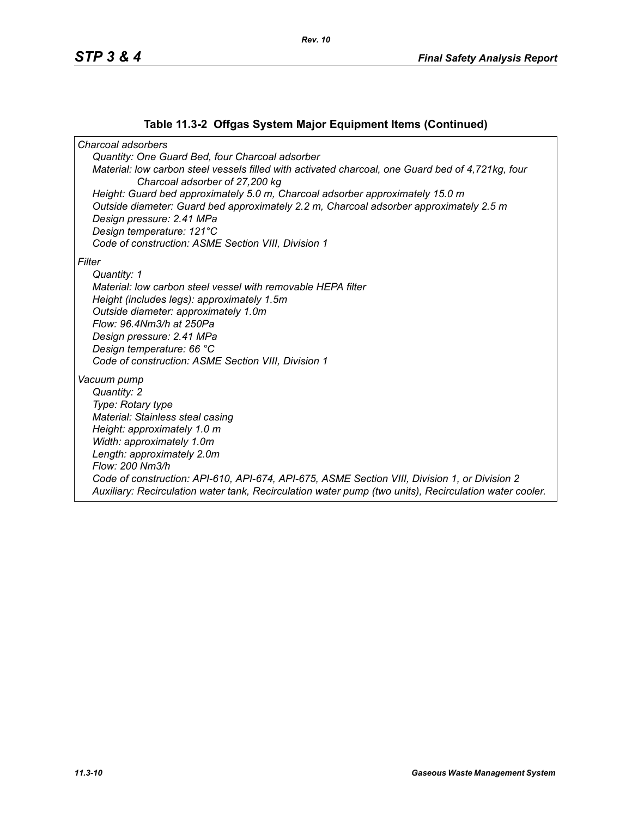## **Table 11.3-2 Offgas System Major Equipment Items (Continued)**

*Charcoal adsorbers Quantity: One Guard Bed, four Charcoal adsorber Material: low carbon steel vessels filled with activated charcoal, one Guard bed of 4,721kg, four Charcoal adsorber of 27,200 kg Height: Guard bed approximately 5.0 m, Charcoal adsorber approximately 15.0 m Outside diameter: Guard bed approximately 2.2 m, Charcoal adsorber approximately 2.5 m Design pressure: 2.41 MPa Design temperature: 121°C Code of construction: ASME Section VIII, Division 1 Filter Quantity: 1 Material: low carbon steel vessel with removable HEPA filter Height (includes legs): approximately 1.5m Outside diameter: approximately 1.0m Flow: 96.4Nm3/h at 250Pa Design pressure: 2.41 MPa Design temperature: 66 °C Code of construction: ASME Section VIII, Division 1 Vacuum pump Quantity: 2 Type: Rotary type Material: Stainless steal casing Height: approximately 1.0 m Width: approximately 1.0m Length: approximately 2.0m Flow: 200 Nm3/h Code of construction: API-610, API-674, API-675, ASME Section VIII, Division 1, or Division 2 Auxiliary: Recirculation water tank, Recirculation water pump (two units), Recirculation water cooler.*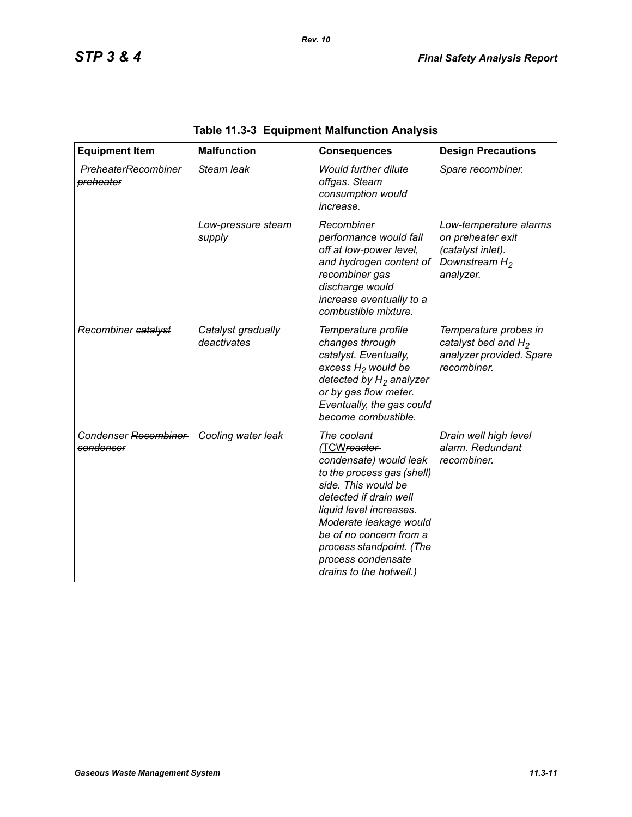| <b>Equipment Item</b>                                | <b>Malfunction</b>                | <b>Consequences</b>                                                                                                                                                                                                                                                                               | <b>Design Precautions</b>                                                                         |
|------------------------------------------------------|-----------------------------------|---------------------------------------------------------------------------------------------------------------------------------------------------------------------------------------------------------------------------------------------------------------------------------------------------|---------------------------------------------------------------------------------------------------|
| PreheaterRecombiner-<br>preheater                    | Steam leak                        | <b>Would further dilute</b><br>offgas. Steam<br>consumption would<br>increase.                                                                                                                                                                                                                    | Spare recombiner.                                                                                 |
|                                                      | Low-pressure steam<br>supply      | Recombiner<br>performance would fall<br>off at low-power level,<br>and hydrogen content of<br>recombiner gas<br>discharge would<br>increase eventually to a<br>combustible mixture.                                                                                                               | Low-temperature alarms<br>on preheater exit<br>(catalyst inlet).<br>Downstream $H_2$<br>analyzer. |
| Recombiner catalyst                                  | Catalyst gradually<br>deactivates | Temperature profile<br>changes through<br>catalyst. Eventually,<br>excess $H_2$ would be<br>detected by $H_2$ analyzer<br>or by gas flow meter.<br>Eventually, the gas could<br>become combustible.                                                                                               | Temperature probes in<br>catalyst bed and $H_2$<br>analyzer provided. Spare<br>recombiner.        |
| Condenser Recombiner Cooling water leak<br>condenser |                                   | The coolant<br>(TCWreactor-<br>condensate) would leak<br>to the process gas (shell)<br>side. This would be<br>detected if drain well<br>liquid level increases.<br>Moderate leakage would<br>be of no concern from a<br>process standpoint. (The<br>process condensate<br>drains to the hotwell.) | Drain well high level<br>alarm. Redundant<br>recombiner.                                          |

# **Table 11.3-3 Equipment Malfunction Analysis**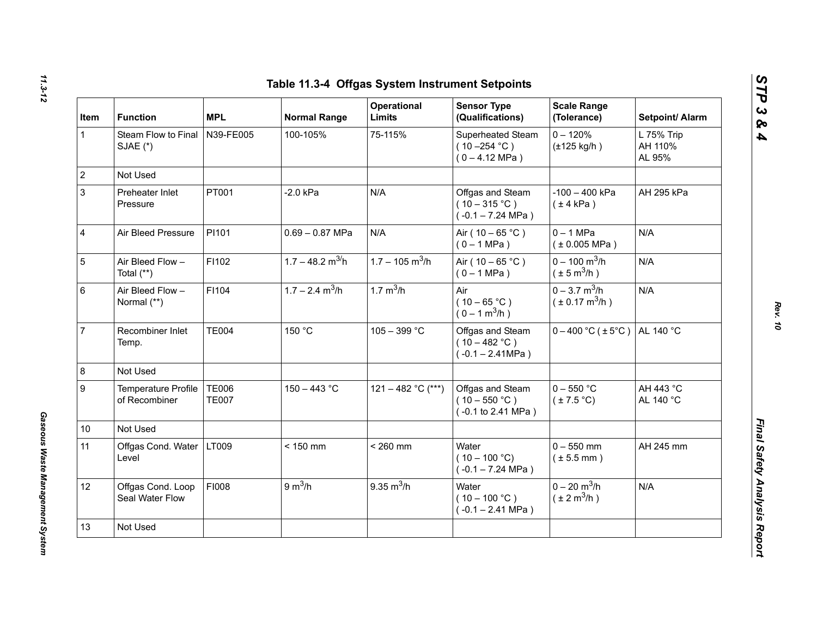| Item         | <b>Function</b>                      | <b>MPL</b>                   | <b>Normal Range</b>            | Operational<br>Limits         | <b>Sensor Type</b><br>(Qualifications)                           | <b>Scale Range</b><br>(Tolerance)                             | Setpoint/ Alarm                 |
|--------------|--------------------------------------|------------------------------|--------------------------------|-------------------------------|------------------------------------------------------------------|---------------------------------------------------------------|---------------------------------|
| $\mathbf{1}$ | Steam Flow to Final<br>SJAE (*)      | N39-FE005                    | 100-105%                       | 75-115%                       | Superheated Steam<br>$(10 - 254 °C)$<br>$(0 - 4.12 \text{ MPa})$ | $0 - 120%$<br>$(\pm 125$ kg/h)                                | L 75% Trip<br>AH 110%<br>AL 95% |
|              | Not Used                             |                              |                                |                               |                                                                  |                                                               |                                 |
|              | Preheater Inlet<br>Pressure          | PT001                        | $-2.0$ kPa                     | N/A                           | Offgas and Steam<br>$(10-315 °C)$<br>$(-0.1 - 7.24 \text{ MPa})$ | $-100 - 400$ kPa<br>$(\pm 4$ kPa)                             | AH 295 kPa                      |
|              | Air Bleed Pressure                   | PI101                        | $0.69 - 0.87$ MPa              | N/A                           | Air ( $10 - 65$ °C)<br>$(0 - 1 MPa)$                             | $0 - 1$ MPa<br>$(*0.005 MPa)$                                 | N/A                             |
|              | Air Bleed Flow -<br>Total (**)       | F1102                        | $1.7 - 48.2$ m <sup>3/</sup> h | $1.7 - 105$ m <sup>3</sup> /h | Air ( $10 - 65$ °C)<br>$(0 - 1 MPa)$                             | $0 - 100$ m <sup>3</sup> /h<br>$(\pm 5 \text{ m}^3/\text{h})$ | N/A                             |
|              | Air Bleed Flow -<br>Normal (**)      | F1104                        | $1.7 - 2.4$ m <sup>3</sup> /h  | 1.7 $m^3/h$                   | Air<br>$(10 - 65 °C)$<br>$(0 - 1 m^3/h)$                         | $0 - 3.7$ m <sup>3</sup> /h<br>$(\pm 0.17 \text{ m}^3/h)$     | N/A                             |
|              | Recombiner Inlet<br>Temp.            | <b>TE004</b>                 | 150 °C                         | $105 - 399 °C$                | Offgas and Steam<br>$(10 - 482 °C)$<br>$(-0.1 - 2.41 MPa)$       | $0 - 400$ °C ( $\pm 5$ °C)                                    | AL 140 °C                       |
|              | Not Used                             |                              |                                |                               |                                                                  |                                                               |                                 |
|              | Temperature Profile<br>of Recombiner | <b>TE006</b><br><b>TE007</b> | $150 - 443 °C$                 | 121 - 482 °C (***)            | Offgas and Steam<br>$(10 - 550 °C)$<br>(-0.1 to 2.41 MPa)        | $0 - 550$ °C<br>$(\pm 7.5^{\circ}C)$                          | AH 443 °C<br>AL 140 °C          |
| 10           | Not Used                             |                              |                                |                               |                                                                  |                                                               |                                 |
| 11           | Offgas Cond. Water<br>Level          | LT009                        | $< 150$ mm                     | $< 260$ mm                    | Water<br>$(10 - 100 °C)$<br>$(-0.1 - 7.24 \text{ MPa})$          | $0 - 550$ mm<br>$(\pm 5.5$ mm)                                | AH 245 mm                       |
| 12           | Offgas Cond. Loop<br>Seal Water Flow | FI008                        | 9 m <sup>3</sup> /h            | $9.35 \text{ m}^3/h$          | Water<br>$(10 - 100 °C)$<br>$(-0.1 - 2.41$ MPa)                  | $0 - 20$ m <sup>3</sup> /h<br>$(\pm 2 \text{ m}^3/\text{h})$  | N/A                             |
| 13           | Not Used                             |                              |                                |                               |                                                                  |                                                               |                                 |

*Gaseous Waste Management System* 

Gaseous Waste Management System

*STP 3 & 4*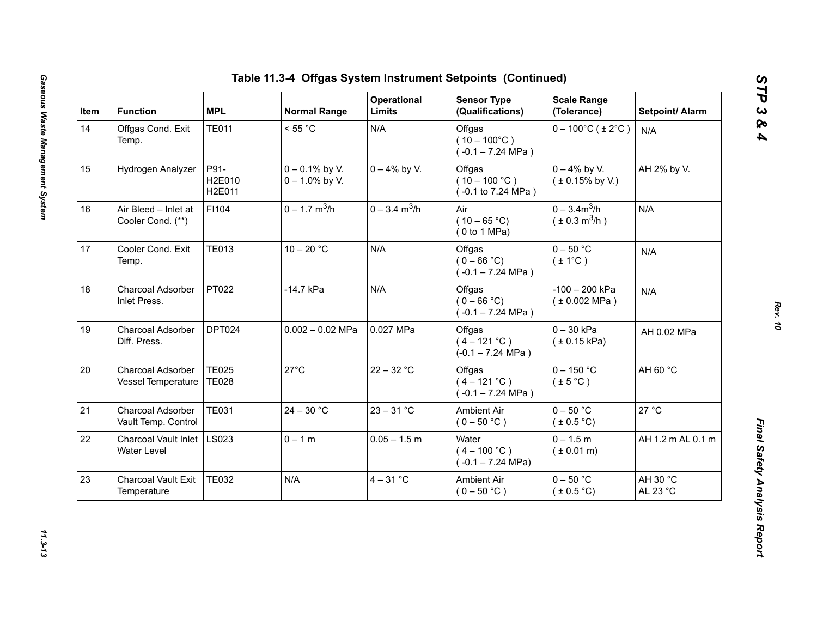| Item | <b>Function</b>                            | <b>MPL</b>                   | <b>Normal Range</b>                    | Operational<br>Limits       | <b>Sensor Type</b><br>(Qualifications)                  | <b>Scale Range</b><br>(Tolerance)           | Setpoint/ Alarm      |
|------|--------------------------------------------|------------------------------|----------------------------------------|-----------------------------|---------------------------------------------------------|---------------------------------------------|----------------------|
| 14   | Offgas Cond. Exit<br>Temp.                 | <b>TE011</b>                 | < 55 °C                                | N/A                         | Offgas<br>$(10 - 100^{\circ}C)$<br>$(-0.1 - 7.24$ MPa)  | $0 - 100^{\circ}$ C (±2°C)                  | N/A                  |
| 15   | Hydrogen Analyzer                          | P91-<br>H2E010<br>H2E011     | $0 - 0.1\%$ by V.<br>$0 - 1.0\%$ by V. | $0 - 4\%$ by V.             | Offgas<br>$(10 - 100 °C)$<br>(-0.1 to 7.24 MPa)         | $0 - 4\%$ by V.<br>$(± 0.15\%$ by V.)       | AH 2% by V.          |
| 16   | Air Bleed - Inlet at<br>Cooler Cond. (**)  | F1104                        | $0 - 1.7$ m <sup>3</sup> /h            | $0 - 3.4$ m <sup>3</sup> /h | Air<br>$(10 - 65 °C)$<br>(0 to 1 MPa)                   | $0 - 3.4m^3/h$<br>$(\pm 0.3 \text{ m}^3/h)$ | N/A                  |
| 17   | Cooler Cond. Exit<br>Temp.                 | <b>TE013</b>                 | $10 - 20 °C$                           | N/A                         | Offgas<br>$(0 - 66 °C)$<br>$(-0.1 - 7.24$ MPa)          | $0 - 50$ °C<br>$(\pm 1^{\circ}C)$           | N/A                  |
| 18   | Charcoal Adsorber<br>Inlet Press.          | PT022                        | -14.7 kPa                              | N/A                         | Offgas<br>$(0 - 66 °C)$<br>$(-0.1 - 7.24 \text{ MPa})$  | $-100 - 200$ kPa<br>(± 0.002 MPa)           | N/A                  |
| 19   | Charcoal Adsorber<br>Diff. Press.          | DPT024                       | $0.002 - 0.02$ MPa                     | 0.027 MPa                   | Offgas<br>$(4 - 121 °C)$<br>$(-0.1 - 7.24 \text{ MPa})$ | $0 - 30$ kPa<br>(± 0.15 kPa)                | AH 0.02 MPa          |
| 20   | Charcoal Adsorber<br>Vessel Temperature    | <b>TE025</b><br><b>TE028</b> | $27^{\circ}$ C                         | $22 - 32 °C$                | Offgas<br>$(4 - 121 °C)$<br>$(-0.1 - 7.24$ MPa)         | $0 - 150$ °C<br>$(\pm 5^{\circ}C)$          | AH 60 °C             |
| 21   | Charcoal Adsorber<br>Vault Temp. Control   | <b>TE031</b>                 | $24 - 30 °C$                           | $23 - 31 °C$                | <b>Ambient Air</b><br>$(0 - 50 °C)$                     | $0 - 50 °C$<br>(± 0.5 °C)                   | 27 °C                |
| 22   | <b>Charcoal Vault Inlet</b><br>Water Level | <b>LS023</b>                 | $0 - 1 m$                              | $0.05 - 1.5$ m              | Water<br>$(4 - 100 °C)$<br>$(-0.1 - 7.24 \text{ MPa})$  | $0 - 1.5 m$<br>$(* 0.01 m)$                 | AH 1.2 m AL 0.1 m    |
| 23   | <b>Charcoal Vault Exit</b><br>Temperature  | <b>TE032</b>                 | N/A                                    | $4 - 31$ °C                 | Ambient Air<br>$(0 - 50 °C)$                            | $0 - 50$ °C<br>$(\pm 0.5^{\circ}C)$         | AH 30 °C<br>AL 23 °C |

*STP 3 & 4*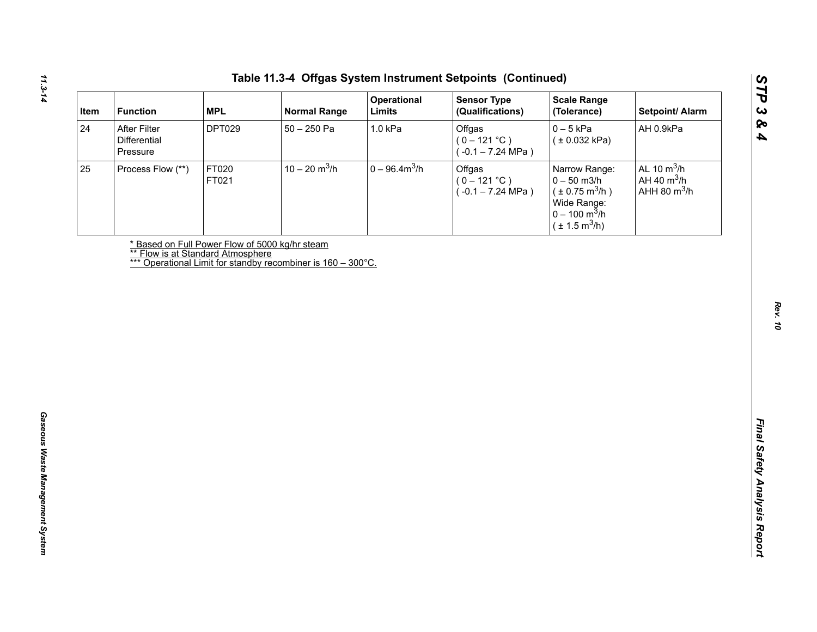| After Filter<br><b>DPT029</b><br>$50 - 250$ Pa<br>1.0 kPa<br>Offgas<br>$0-5$ kPa<br>AH 0.9kPa<br>Differential<br>$(0 - 121 °C)$<br>(± 0.032 kPa)<br>$(-0.1 - 7.24 \text{ MPa})$<br>Pressure<br>$10 - 20$ m <sup>3</sup> /h<br>$0 - 96.4 m3/h$<br>AL 10 $m^3/h$<br>FT020<br>Offgas<br>Process Flow (**)<br>Narrow Range:<br>AH 40 $m^3/h$<br>$(0 - 121 °C)$<br>$0 - 50$ m3/h<br>FT021<br>AHH 80 $m^3/h$<br>$(\pm 0.75 \text{ m}^3/h)$<br>$(-0.1 - 7.24 \text{ MPa})$<br>Wide Range:<br>$0 - 100 \text{ m}^3/h$<br>$(\pm 1.5 \text{ m}^3/h)$<br>* Based on Full Power Flow of 5000 kg/hr steam<br><b>** Flow is at Standard Atmosphere</b><br>*** Operational Limit for standby recombiner is 160 - 300°C. |    | <b>MPL</b><br><b>Function</b> | <b>Normal Range</b> | Operational<br>Limits | <b>Sensor Type</b><br>(Qualifications) | <b>Scale Range</b><br>(Tolerance) | Setpoint/ Alarm |
|----------------------------------------------------------------------------------------------------------------------------------------------------------------------------------------------------------------------------------------------------------------------------------------------------------------------------------------------------------------------------------------------------------------------------------------------------------------------------------------------------------------------------------------------------------------------------------------------------------------------------------------------------------------------------------------------------------|----|-------------------------------|---------------------|-----------------------|----------------------------------------|-----------------------------------|-----------------|
|                                                                                                                                                                                                                                                                                                                                                                                                                                                                                                                                                                                                                                                                                                          | 24 |                               |                     |                       |                                        |                                   |                 |
|                                                                                                                                                                                                                                                                                                                                                                                                                                                                                                                                                                                                                                                                                                          | 25 |                               |                     |                       |                                        |                                   |                 |
|                                                                                                                                                                                                                                                                                                                                                                                                                                                                                                                                                                                                                                                                                                          |    |                               |                     |                       |                                        |                                   |                 |
|                                                                                                                                                                                                                                                                                                                                                                                                                                                                                                                                                                                                                                                                                                          |    |                               |                     |                       |                                        |                                   |                 |
|                                                                                                                                                                                                                                                                                                                                                                                                                                                                                                                                                                                                                                                                                                          |    |                               |                     |                       |                                        |                                   |                 |
|                                                                                                                                                                                                                                                                                                                                                                                                                                                                                                                                                                                                                                                                                                          |    |                               |                     |                       |                                        |                                   |                 |
|                                                                                                                                                                                                                                                                                                                                                                                                                                                                                                                                                                                                                                                                                                          |    |                               |                     |                       |                                        |                                   |                 |
|                                                                                                                                                                                                                                                                                                                                                                                                                                                                                                                                                                                                                                                                                                          |    |                               |                     |                       |                                        |                                   |                 |
|                                                                                                                                                                                                                                                                                                                                                                                                                                                                                                                                                                                                                                                                                                          |    |                               |                     |                       |                                        |                                   |                 |
|                                                                                                                                                                                                                                                                                                                                                                                                                                                                                                                                                                                                                                                                                                          |    |                               |                     |                       |                                        |                                   |                 |
|                                                                                                                                                                                                                                                                                                                                                                                                                                                                                                                                                                                                                                                                                                          |    |                               |                     |                       |                                        |                                   |                 |
|                                                                                                                                                                                                                                                                                                                                                                                                                                                                                                                                                                                                                                                                                                          |    |                               |                     |                       |                                        |                                   |                 |
|                                                                                                                                                                                                                                                                                                                                                                                                                                                                                                                                                                                                                                                                                                          |    |                               |                     |                       |                                        |                                   |                 |
|                                                                                                                                                                                                                                                                                                                                                                                                                                                                                                                                                                                                                                                                                                          |    |                               |                     |                       |                                        |                                   |                 |
|                                                                                                                                                                                                                                                                                                                                                                                                                                                                                                                                                                                                                                                                                                          |    |                               |                     |                       |                                        |                                   |                 |
|                                                                                                                                                                                                                                                                                                                                                                                                                                                                                                                                                                                                                                                                                                          |    |                               |                     |                       |                                        |                                   |                 |
|                                                                                                                                                                                                                                                                                                                                                                                                                                                                                                                                                                                                                                                                                                          |    |                               |                     |                       |                                        |                                   |                 |
|                                                                                                                                                                                                                                                                                                                                                                                                                                                                                                                                                                                                                                                                                                          |    |                               |                     |                       |                                        |                                   |                 |
|                                                                                                                                                                                                                                                                                                                                                                                                                                                                                                                                                                                                                                                                                                          |    |                               |                     |                       |                                        |                                   |                 |
|                                                                                                                                                                                                                                                                                                                                                                                                                                                                                                                                                                                                                                                                                                          |    |                               |                     |                       |                                        |                                   |                 |
|                                                                                                                                                                                                                                                                                                                                                                                                                                                                                                                                                                                                                                                                                                          |    |                               |                     |                       |                                        |                                   |                 |
|                                                                                                                                                                                                                                                                                                                                                                                                                                                                                                                                                                                                                                                                                                          |    |                               |                     |                       |                                        |                                   |                 |
|                                                                                                                                                                                                                                                                                                                                                                                                                                                                                                                                                                                                                                                                                                          |    |                               |                     |                       |                                        |                                   |                 |

*STP 3 & 4*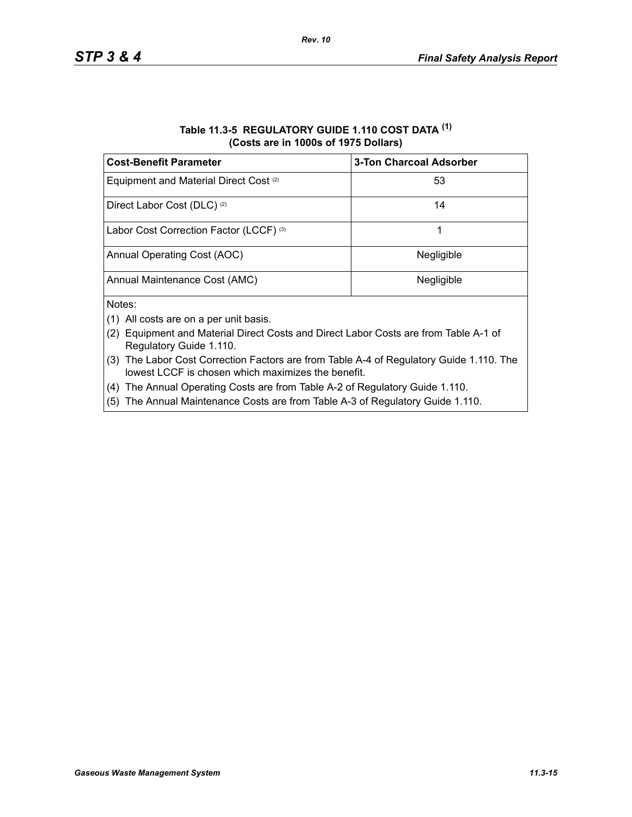| Table 11.3-5 REGULATORY GUIDE 1.110 COST DATA (1) |
|---------------------------------------------------|
| (Costs are in 1000s of 1975 Dollars)              |

| <b>Cost-Benefit Parameter</b>                     | <b>3-Ton Charcoal Adsorber</b> |
|---------------------------------------------------|--------------------------------|
| Equipment and Material Direct Cost <sup>(2)</sup> | 53                             |
| Direct Labor Cost (DLC) <sup>(2)</sup>            | 14                             |
| Labor Cost Correction Factor (LCCF) (3)           |                                |
| Annual Operating Cost (AOC)                       | Negligible                     |
| Annual Maintenance Cost (AMC)                     | Negligible                     |
| Notes:                                            |                                |

- (1) All costs are on a per unit basis.
- (2) Equipment and Material Direct Costs and Direct Labor Costs are from Table A-1 of Regulatory Guide 1.110.
- (3) The Labor Cost Correction Factors are from Table A-4 of Regulatory Guide 1.110. The lowest LCCF is chosen which maximizes the benefit.
- (4) The Annual Operating Costs are from Table A-2 of Regulatory Guide 1.110.
- (5) The Annual Maintenance Costs are from Table A-3 of Regulatory Guide 1.110.